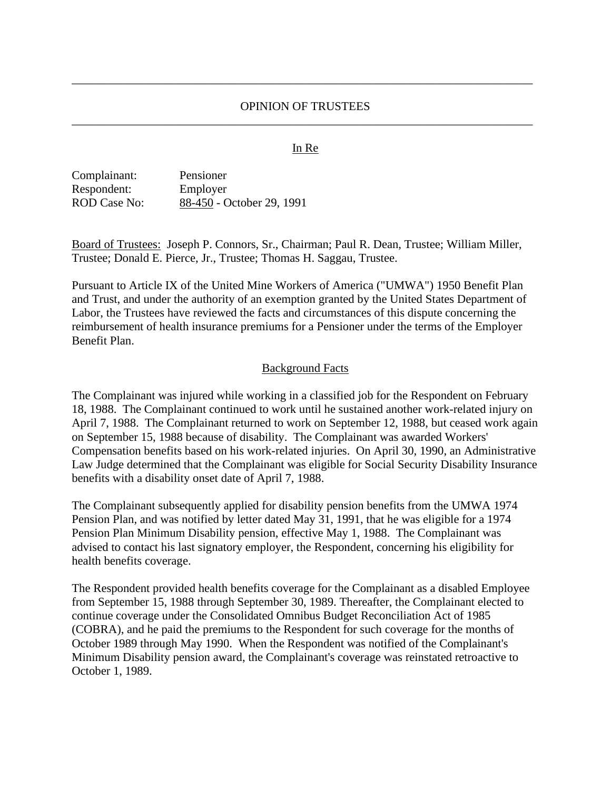### OPINION OF TRUSTEES \_\_\_\_\_\_\_\_\_\_\_\_\_\_\_\_\_\_\_\_\_\_\_\_\_\_\_\_\_\_\_\_\_\_\_\_\_\_\_\_\_\_\_\_\_\_\_\_\_\_\_\_\_\_\_\_\_\_\_\_\_\_\_\_\_\_\_\_\_\_\_\_\_\_\_\_\_

\_\_\_\_\_\_\_\_\_\_\_\_\_\_\_\_\_\_\_\_\_\_\_\_\_\_\_\_\_\_\_\_\_\_\_\_\_\_\_\_\_\_\_\_\_\_\_\_\_\_\_\_\_\_\_\_\_\_\_\_\_\_\_\_\_\_\_\_\_\_\_\_\_\_\_\_\_

#### In Re

| Complainant:        | Pensioner                 |
|---------------------|---------------------------|
| Respondent:         | Employer                  |
| <b>ROD Case No:</b> | 88-450 - October 29, 1991 |

Board of Trustees: Joseph P. Connors, Sr., Chairman; Paul R. Dean, Trustee; William Miller, Trustee; Donald E. Pierce, Jr., Trustee; Thomas H. Saggau, Trustee.

Pursuant to Article IX of the United Mine Workers of America ("UMWA") 1950 Benefit Plan and Trust, and under the authority of an exemption granted by the United States Department of Labor, the Trustees have reviewed the facts and circumstances of this dispute concerning the reimbursement of health insurance premiums for a Pensioner under the terms of the Employer Benefit Plan.

#### Background Facts

The Complainant was injured while working in a classified job for the Respondent on February 18, 1988. The Complainant continued to work until he sustained another work-related injury on April 7, 1988. The Complainant returned to work on September 12, 1988, but ceased work again on September 15, 1988 because of disability. The Complainant was awarded Workers' Compensation benefits based on his work-related injuries. On April 30, 1990, an Administrative Law Judge determined that the Complainant was eligible for Social Security Disability Insurance benefits with a disability onset date of April 7, 1988.

The Complainant subsequently applied for disability pension benefits from the UMWA 1974 Pension Plan, and was notified by letter dated May 31, 1991, that he was eligible for a 1974 Pension Plan Minimum Disability pension, effective May 1, 1988. The Complainant was advised to contact his last signatory employer, the Respondent, concerning his eligibility for health benefits coverage.

The Respondent provided health benefits coverage for the Complainant as a disabled Employee from September 15, 1988 through September 30, 1989. Thereafter, the Complainant elected to continue coverage under the Consolidated Omnibus Budget Reconciliation Act of 1985 (COBRA), and he paid the premiums to the Respondent for such coverage for the months of October 1989 through May 1990. When the Respondent was notified of the Complainant's Minimum Disability pension award, the Complainant's coverage was reinstated retroactive to October 1, 1989.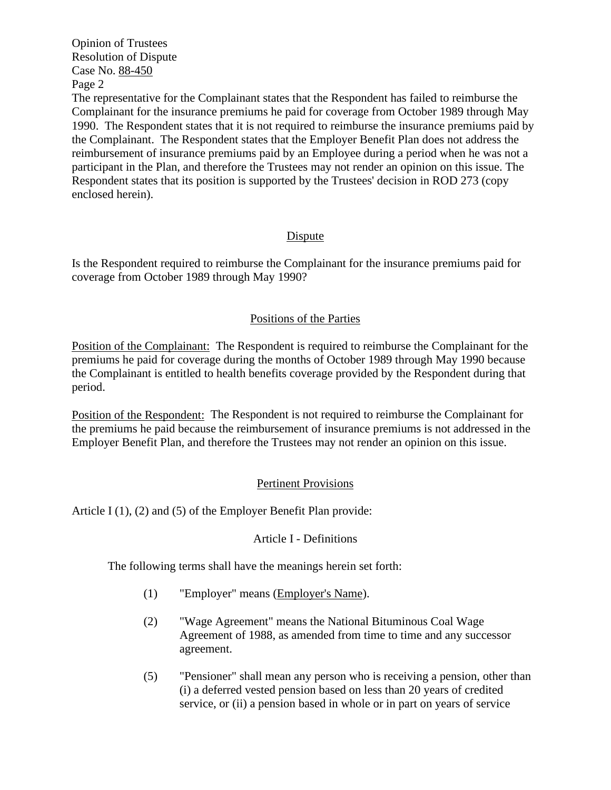Opinion of Trustees Resolution of Dispute Case No. 88-450 Page 2

The representative for the Complainant states that the Respondent has failed to reimburse the Complainant for the insurance premiums he paid for coverage from October 1989 through May 1990. The Respondent states that it is not required to reimburse the insurance premiums paid by the Complainant. The Respondent states that the Employer Benefit Plan does not address the reimbursement of insurance premiums paid by an Employee during a period when he was not a participant in the Plan, and therefore the Trustees may not render an opinion on this issue. The Respondent states that its position is supported by the Trustees' decision in ROD 273 (copy enclosed herein).

### Dispute

Is the Respondent required to reimburse the Complainant for the insurance premiums paid for coverage from October 1989 through May 1990?

### Positions of the Parties

Position of the Complainant: The Respondent is required to reimburse the Complainant for the premiums he paid for coverage during the months of October 1989 through May 1990 because the Complainant is entitled to health benefits coverage provided by the Respondent during that period.

Position of the Respondent: The Respondent is not required to reimburse the Complainant for the premiums he paid because the reimbursement of insurance premiums is not addressed in the Employer Benefit Plan, and therefore the Trustees may not render an opinion on this issue.

# Pertinent Provisions

Article I (1), (2) and (5) of the Employer Benefit Plan provide:

### Article I - Definitions

The following terms shall have the meanings herein set forth:

- (1) "Employer" means (Employer's Name).
- (2) "Wage Agreement" means the National Bituminous Coal Wage Agreement of 1988, as amended from time to time and any successor agreement.
- (5) "Pensioner" shall mean any person who is receiving a pension, other than (i) a deferred vested pension based on less than 20 years of credited service, or (ii) a pension based in whole or in part on years of service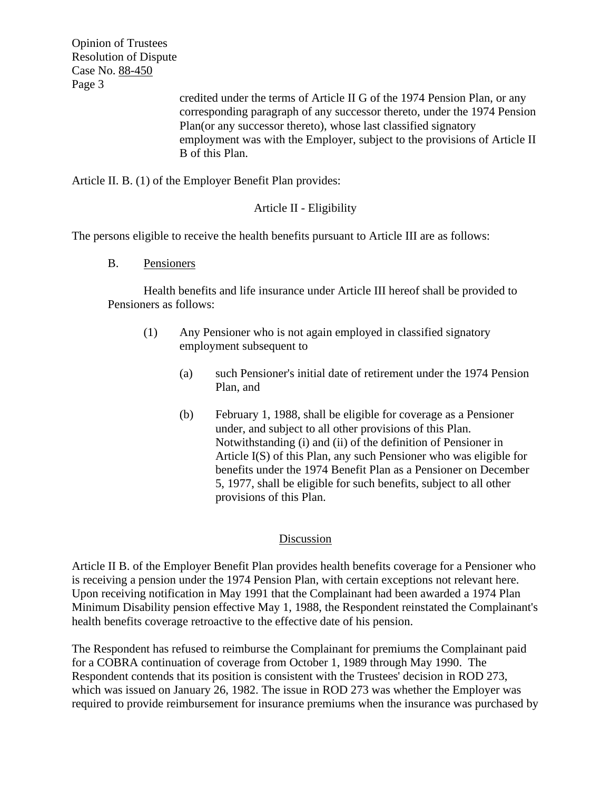Opinion of Trustees Resolution of Dispute Case No. 88-450 Page 3

credited under the terms of Article II G of the 1974 Pension Plan, or any corresponding paragraph of any successor thereto, under the 1974 Pension Plan(or any successor thereto), whose last classified signatory employment was with the Employer, subject to the provisions of Article II B of this Plan.

Article II. B. (1) of the Employer Benefit Plan provides:

# Article II - Eligibility

The persons eligible to receive the health benefits pursuant to Article III are as follows:

B. Pensioners

Health benefits and life insurance under Article III hereof shall be provided to Pensioners as follows:

- (1) Any Pensioner who is not again employed in classified signatory employment subsequent to
	- (a) such Pensioner's initial date of retirement under the 1974 Pension Plan, and
	- (b) February 1, 1988, shall be eligible for coverage as a Pensioner under, and subject to all other provisions of this Plan. Notwithstanding (i) and (ii) of the definition of Pensioner in Article I(S) of this Plan, any such Pensioner who was eligible for benefits under the 1974 Benefit Plan as a Pensioner on December 5, 1977, shall be eligible for such benefits, subject to all other provisions of this Plan.

# Discussion

Article II B. of the Employer Benefit Plan provides health benefits coverage for a Pensioner who is receiving a pension under the 1974 Pension Plan, with certain exceptions not relevant here. Upon receiving notification in May 1991 that the Complainant had been awarded a 1974 Plan Minimum Disability pension effective May 1, 1988, the Respondent reinstated the Complainant's health benefits coverage retroactive to the effective date of his pension.

The Respondent has refused to reimburse the Complainant for premiums the Complainant paid for a COBRA continuation of coverage from October 1, 1989 through May 1990. The Respondent contends that its position is consistent with the Trustees' decision in ROD 273, which was issued on January 26, 1982. The issue in ROD 273 was whether the Employer was required to provide reimbursement for insurance premiums when the insurance was purchased by